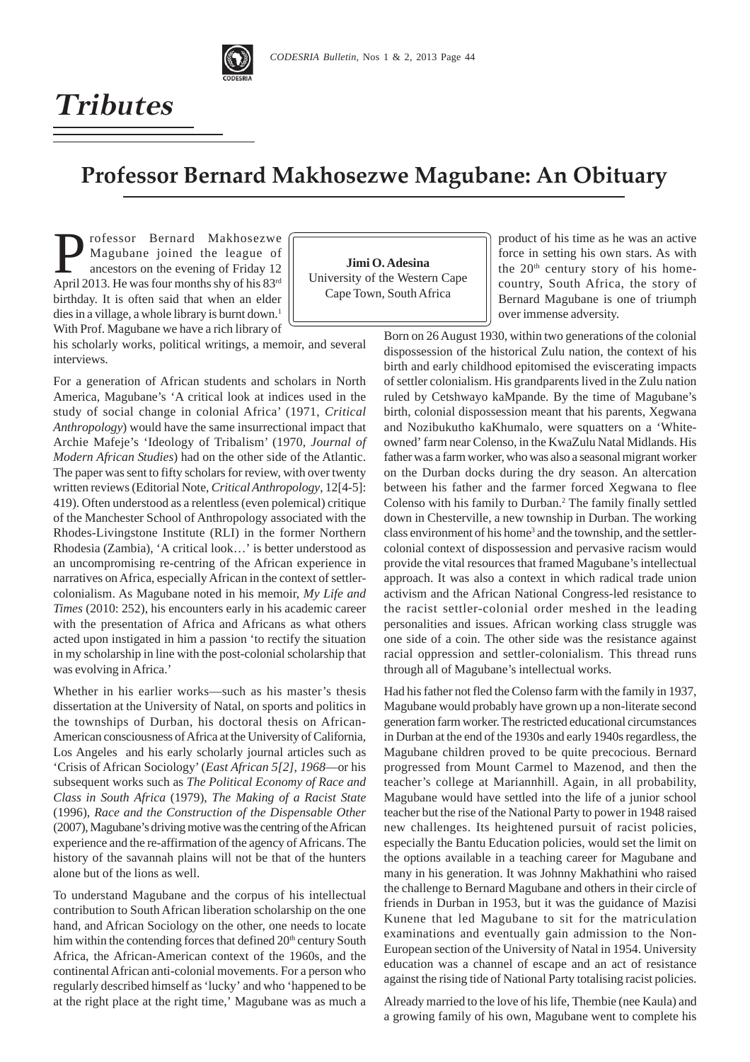

## **Professor Bernard Makhosezwe Magubane: An Obituary**

**Professor Bernard Makhosezwe**<br>Magubane joined the league of<br>ancestors on the evening of Friday 12<br>April 2013 Ho was four months shu of his 82<sup>rd</sup> Magubane joined the league of ancestors on the evening of Friday 12 April 2013. He was four months shy of his 83rd birthday. It is often said that when an elder dies in a village, a whole library is burnt down.<sup>1</sup> With Prof. Magubane we have a rich library of

**Jimi O. Adesina** University of the Western Cape Cape Town, South Africa

product of his time as he was an active force in setting his own stars. As with the  $20<sup>th</sup>$  century story of his homecountry, South Africa, the story of Bernard Magubane is one of triumph over immense adversity.

his scholarly works, political writings, a memoir, and several interviews.

For a generation of African students and scholars in North America, Magubane's 'A critical look at indices used in the study of social change in colonial Africa' (1971, *Critical Anthropology*) would have the same insurrectional impact that Archie Mafeje's 'Ideology of Tribalism' (1970, *Journal of Modern African Studies*) had on the other side of the Atlantic. The paper was sent to fifty scholars for review, with over twenty written reviews (Editorial Note, *Critical Anthropology*, 12[4-5]: 419). Often understood as a relentless (even polemical) critique of the Manchester School of Anthropology associated with the Rhodes-Livingstone Institute (RLI) in the former Northern Rhodesia (Zambia), 'A critical look…' is better understood as an uncompromising re-centring of the African experience in narratives on Africa, especially African in the context of settlercolonialism. As Magubane noted in his memoir, *My Life and Times* (2010: 252), his encounters early in his academic career with the presentation of Africa and Africans as what others acted upon instigated in him a passion 'to rectify the situation in my scholarship in line with the post-colonial scholarship that was evolving in Africa.'

Whether in his earlier works—such as his master's thesis dissertation at the University of Natal, on sports and politics in the townships of Durban, his doctoral thesis on African-American consciousness of Africa at the University of California, Los Angeles and his early scholarly journal articles such as 'Crisis of African Sociology' (*East African 5[2], 1968*—or his subsequent works such as *The Political Economy of Race and Class in South Africa* (1979), *The Making of a Racist State* (1996), *Race and the Construction of the Dispensable Other* (2007), Magubane's driving motive was the centring of the African experience and the re-affirmation of the agency of Africans. The history of the savannah plains will not be that of the hunters alone but of the lions as well.

To understand Magubane and the corpus of his intellectual contribution to South African liberation scholarship on the one hand, and African Sociology on the other, one needs to locate him within the contending forces that defined  $20<sup>th</sup>$  century South Africa, the African-American context of the 1960s, and the continental African anti-colonial movements. For a person who regularly described himself as 'lucky' and who 'happened to be at the right place at the right time,' Magubane was as much a

Born on 26 August 1930, within two generations of the colonial dispossession of the historical Zulu nation, the context of his birth and early childhood epitomised the eviscerating impacts of settler colonialism. His grandparents lived in the Zulu nation ruled by Cetshwayo kaMpande. By the time of Magubane's birth, colonial dispossession meant that his parents, Xegwana and Nozibukutho kaKhumalo, were squatters on a 'Whiteowned' farm near Colenso, in the KwaZulu Natal Midlands. His father was a farm worker, who was also a seasonal migrant worker on the Durban docks during the dry season. An altercation between his father and the farmer forced Xegwana to flee Colenso with his family to Durban.<sup>2</sup> The family finally settled down in Chesterville, a new township in Durban. The working class environment of his home<sup>3</sup> and the township, and the settlercolonial context of dispossession and pervasive racism would provide the vital resources that framed Magubane's intellectual approach. It was also a context in which radical trade union activism and the African National Congress-led resistance to the racist settler-colonial order meshed in the leading personalities and issues. African working class struggle was one side of a coin. The other side was the resistance against racial oppression and settler-colonialism. This thread runs through all of Magubane's intellectual works.

Had his father not fled the Colenso farm with the family in 1937, Magubane would probably have grown up a non-literate second generation farm worker. The restricted educational circumstances in Durban at the end of the 1930s and early 1940s regardless, the Magubane children proved to be quite precocious. Bernard progressed from Mount Carmel to Mazenod, and then the teacher's college at Mariannhill. Again, in all probability, Magubane would have settled into the life of a junior school teacher but the rise of the National Party to power in 1948 raised new challenges. Its heightened pursuit of racist policies, especially the Bantu Education policies, would set the limit on the options available in a teaching career for Magubane and many in his generation. It was Johnny Makhathini who raised the challenge to Bernard Magubane and others in their circle of friends in Durban in 1953, but it was the guidance of Mazisi Kunene that led Magubane to sit for the matriculation examinations and eventually gain admission to the Non-European section of the University of Natal in 1954. University education was a channel of escape and an act of resistance against the rising tide of National Party totalising racist policies.

Already married to the love of his life, Thembie (nee Kaula) and a growing family of his own, Magubane went to complete his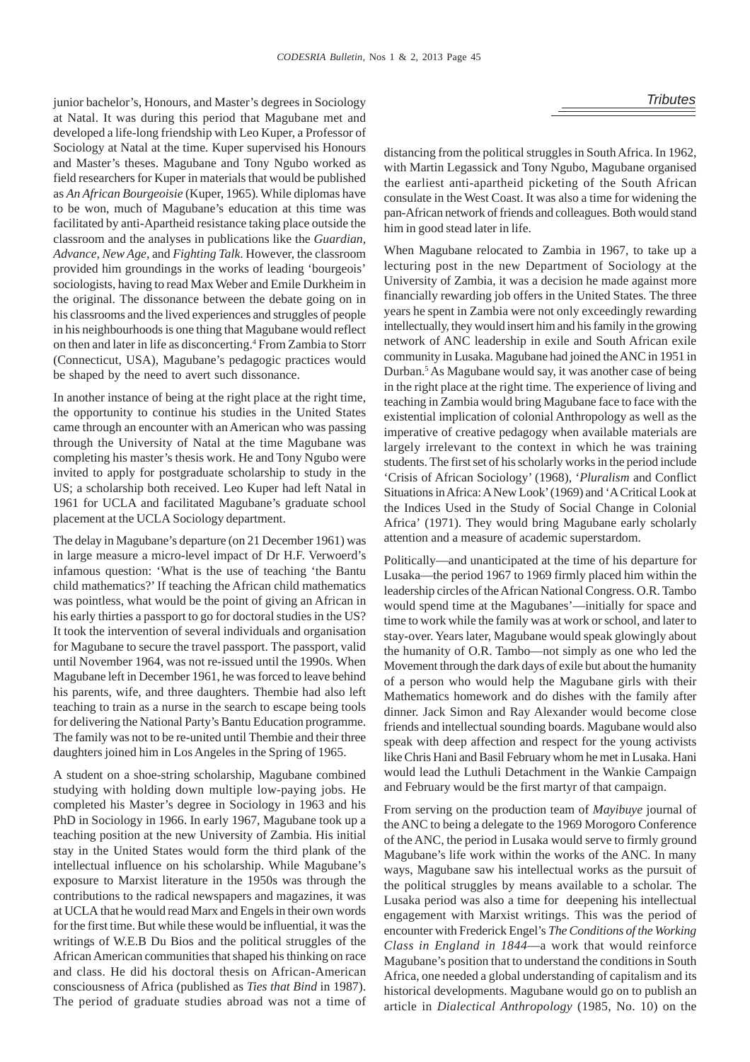junior bachelor's, Honours, and Master's degrees in Sociology *Tributes* at Natal. It was during this period that Magubane met and developed a life-long friendship with Leo Kuper, a Professor of Sociology at Natal at the time. Kuper supervised his Honours and Master's theses. Magubane and Tony Ngubo worked as field researchers for Kuper in materials that would be published as *An African Bourgeoisie* (Kuper, 1965)*.* While diplomas have to be won, much of Magubane's education at this time was facilitated by anti-Apartheid resistance taking place outside the classroom and the analyses in publications like the *Guardian, Advance, New Age,* and *Fighting Talk*. However, the classroom provided him groundings in the works of leading 'bourgeois' sociologists, having to read Max Weber and Emile Durkheim in the original. The dissonance between the debate going on in his classrooms and the lived experiences and struggles of people in his neighbourhoods is one thing that Magubane would reflect on then and later in life as disconcerting.<sup>4</sup> From Zambia to Storr (Connecticut, USA), Magubane's pedagogic practices would be shaped by the need to avert such dissonance.

In another instance of being at the right place at the right time, the opportunity to continue his studies in the United States came through an encounter with an American who was passing through the University of Natal at the time Magubane was completing his master's thesis work. He and Tony Ngubo were invited to apply for postgraduate scholarship to study in the US; a scholarship both received. Leo Kuper had left Natal in 1961 for UCLA and facilitated Magubane's graduate school placement at the UCLA Sociology department.

The delay in Magubane's departure (on 21 December 1961) was in large measure a micro-level impact of Dr H.F. Verwoerd's infamous question: 'What is the use of teaching 'the Bantu child mathematics?' If teaching the African child mathematics was pointless, what would be the point of giving an African in his early thirties a passport to go for doctoral studies in the US? It took the intervention of several individuals and organisation for Magubane to secure the travel passport. The passport, valid until November 1964, was not re-issued until the 1990s. When Magubane left in December 1961, he was forced to leave behind his parents, wife, and three daughters. Thembie had also left teaching to train as a nurse in the search to escape being tools for delivering the National Party's Bantu Education programme. The family was not to be re-united until Thembie and their three daughters joined him in Los Angeles in the Spring of 1965.

A student on a shoe-string scholarship, Magubane combined studying with holding down multiple low-paying jobs. He completed his Master's degree in Sociology in 1963 and his PhD in Sociology in 1966. In early 1967, Magubane took up a teaching position at the new University of Zambia. His initial stay in the United States would form the third plank of the intellectual influence on his scholarship. While Magubane's exposure to Marxist literature in the 1950s was through the contributions to the radical newspapers and magazines, it was at UCLA that he would read Marx and Engels in their own words for the first time. But while these would be influential, it was the writings of W.E.B Du Bios and the political struggles of the African American communities that shaped his thinking on race and class. He did his doctoral thesis on African-American consciousness of Africa (published as *Ties that Bind* in 1987). The period of graduate studies abroad was not a time of distancing from the political struggles in South Africa. In 1962, with Martin Legassick and Tony Ngubo, Magubane organised the earliest anti-apartheid picketing of the South African consulate in the West Coast. It was also a time for widening the pan-African network of friends and colleagues. Both would stand him in good stead later in life.

When Magubane relocated to Zambia in 1967, to take up a lecturing post in the new Department of Sociology at the University of Zambia, it was a decision he made against more financially rewarding job offers in the United States. The three years he spent in Zambia were not only exceedingly rewarding intellectually, they would insert him and his family in the growing network of ANC leadership in exile and South African exile community in Lusaka. Magubane had joined the ANC in 1951 in Durban.<sup>5</sup> As Magubane would say, it was another case of being in the right place at the right time. The experience of living and teaching in Zambia would bring Magubane face to face with the existential implication of colonial Anthropology as well as the imperative of creative pedagogy when available materials are largely irrelevant to the context in which he was training students. The first set of his scholarly works in the period include 'Crisis of African Sociology' (1968), '*Pluralism* and Conflict Situations in Africa: A New Look' (1969) and 'A Critical Look at the Indices Used in the Study of Social Change in Colonial Africa' (1971). They would bring Magubane early scholarly attention and a measure of academic superstardom.

Politically—and unanticipated at the time of his departure for Lusaka—the period 1967 to 1969 firmly placed him within the leadership circles of the African National Congress. O.R. Tambo would spend time at the Magubanes'—initially for space and time to work while the family was at work or school, and later to stay-over. Years later, Magubane would speak glowingly about the humanity of O.R. Tambo—not simply as one who led the Movement through the dark days of exile but about the humanity of a person who would help the Magubane girls with their Mathematics homework and do dishes with the family after dinner. Jack Simon and Ray Alexander would become close friends and intellectual sounding boards. Magubane would also speak with deep affection and respect for the young activists like Chris Hani and Basil February whom he met in Lusaka. Hani would lead the Luthuli Detachment in the Wankie Campaign and February would be the first martyr of that campaign.

From serving on the production team of *Mayibuye* journal of the ANC to being a delegate to the 1969 Morogoro Conference of the ANC, the period in Lusaka would serve to firmly ground Magubane's life work within the works of the ANC. In many ways, Magubane saw his intellectual works as the pursuit of the political struggles by means available to a scholar. The Lusaka period was also a time for deepening his intellectual engagement with Marxist writings. This was the period of encounter with Frederick Engel's *The Conditions of the Working Class in England in 1844*—a work that would reinforce Magubane's position that to understand the conditions in South Africa, one needed a global understanding of capitalism and its historical developments. Magubane would go on to publish an article in *Dialectical Anthropology* (1985, No. 10) on the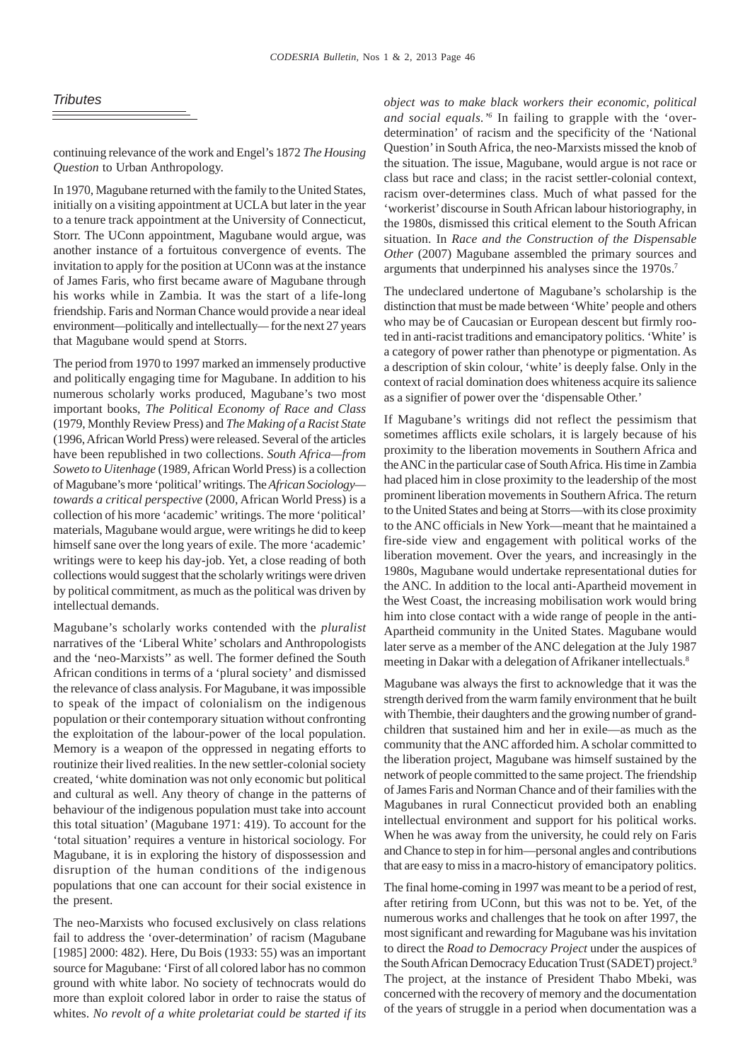## *Tributes*

continuing relevance of the work and Engel's 1872 *The Housing Question* to Urban Anthropology.

In 1970, Magubane returned with the family to the United States, initially on a visiting appointment at UCLA but later in the year to a tenure track appointment at the University of Connecticut, Storr. The UConn appointment, Magubane would argue, was another instance of a fortuitous convergence of events. The invitation to apply for the position at UConn was at the instance of James Faris, who first became aware of Magubane through his works while in Zambia*.* It was the start of a life-long friendship. Faris and Norman Chance would provide a near ideal environment*—*politically and intellectually*—* for the next 27 years that Magubane would spend at Storrs.

The period from 1970 to 1997 marked an immensely productive and politically engaging time for Magubane. In addition to his numerous scholarly works produced, Magubane's two most important books, *The Political Economy of Race and Class* (1979, Monthly Review Press) and *The Making of a Racist State* (1996, African World Press) were released. Several of the articles have been republished in two collections. *South Africa—from Soweto to Uitenhage* (1989, African World Press) is a collection of Magubane's more 'political' writings. The *African Sociology towards a critical perspective* (2000, African World Press) is a collection of his more 'academic' writings. The more 'political' materials, Magubane would argue, were writings he did to keep himself sane over the long years of exile. The more 'academic' writings were to keep his day-job. Yet, a close reading of both collections would suggest that the scholarly writings were driven by political commitment, as much as the political was driven by intellectual demands.

Magubane's scholarly works contended with the *pluralist* narratives of the 'Liberal White' scholars and Anthropologists and the 'neo-Marxists'' as well. The former defined the South African conditions in terms of a 'plural society' and dismissed the relevance of class analysis. For Magubane, it was impossible to speak of the impact of colonialism on the indigenous population or their contemporary situation without confronting the exploitation of the labour-power of the local population. Memory is a weapon of the oppressed in negating efforts to routinize their lived realities. In the new settler-colonial society created, 'white domination was not only economic but political and cultural as well. Any theory of change in the patterns of behaviour of the indigenous population must take into account this total situation' (Magubane 1971: 419). To account for the 'total situation' requires a venture in historical sociology. For Magubane, it is in exploring the history of dispossession and disruption of the human conditions of the indigenous populations that one can account for their social existence in the present.

The neo-Marxists who focused exclusively on class relations fail to address the 'over-determination' of racism (Magubane [1985] 2000: 482). Here, Du Bois (1933: 55) was an important source for Magubane: 'First of all colored labor has no common ground with white labor. No society of technocrats would do more than exploit colored labor in order to raise the status of whites. *No revolt of a white proletariat could be started if its* *object was to make black workers their economic, political and social equals.'6* In failing to grapple with the 'overdetermination' of racism and the specificity of the 'National Question' in South Africa, the neo-Marxists missed the knob of the situation. The issue, Magubane, would argue is not race or class but race and class; in the racist settler-colonial context, racism over-determines class. Much of what passed for the 'workerist' discourse in South African labour historiography, in the 1980s, dismissed this critical element to the South African situation. In *Race and the Construction of the Dispensable Other* (2007) Magubane assembled the primary sources and arguments that underpinned his analyses since the 1970s.7

The undeclared undertone of Magubane's scholarship is the distinction that must be made between 'White' people and others who may be of Caucasian or European descent but firmly rooted in anti-racist traditions and emancipatory politics. 'White' is a category of power rather than phenotype or pigmentation. As a description of skin colour, 'white' is deeply false. Only in the context of racial domination does whiteness acquire its salience as a signifier of power over the 'dispensable Other.'

If Magubane's writings did not reflect the pessimism that sometimes afflicts exile scholars, it is largely because of his proximity to the liberation movements in Southern Africa and the ANC in the particular case of South Africa. His time in Zambia had placed him in close proximity to the leadership of the most prominent liberation movements in Southern Africa. The return to the United States and being at Storrs—with its close proximity to the ANC officials in New York—meant that he maintained a fire-side view and engagement with political works of the liberation movement. Over the years, and increasingly in the 1980s, Magubane would undertake representational duties for the ANC. In addition to the local anti-Apartheid movement in the West Coast, the increasing mobilisation work would bring him into close contact with a wide range of people in the anti-Apartheid community in the United States. Magubane would later serve as a member of the ANC delegation at the July 1987 meeting in Dakar with a delegation of Afrikaner intellectuals.8

Magubane was always the first to acknowledge that it was the strength derived from the warm family environment that he built with Thembie, their daughters and the growing number of grandchildren that sustained him and her in exile—as much as the community that the ANC afforded him. A scholar committed to the liberation project, Magubane was himself sustained by the network of people committed to the same project. The friendship of James Faris and Norman Chance and of their families with the Magubanes in rural Connecticut provided both an enabling intellectual environment and support for his political works. When he was away from the university, he could rely on Faris and Chance to step in for him—personal angles and contributions that are easy to miss in a macro-history of emancipatory politics.

The final home-coming in 1997 was meant to be a period of rest, after retiring from UConn, but this was not to be. Yet, of the numerous works and challenges that he took on after 1997, the most significant and rewarding for Magubane was his invitation to direct the *Road to Democracy Project* under the auspices of the South African Democracy Education Trust (SADET) project.<sup>9</sup> The project, at the instance of President Thabo Mbeki, was concerned with the recovery of memory and the documentation of the years of struggle in a period when documentation was a